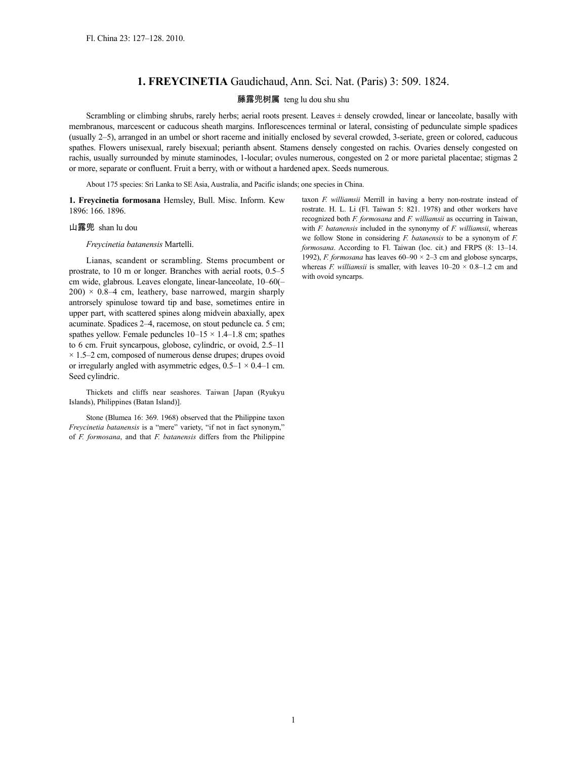## **1. FREYCINETIA** Gaudichaud, Ann. Sci. Nat. (Paris) 3: 509. 1824.

## 藤露兜树属 teng lu dou shu shu

Scrambling or climbing shrubs, rarely herbs; aerial roots present. Leaves ± densely crowded, linear or lanceolate, basally with membranous, marcescent or caducous sheath margins. Inflorescences terminal or lateral, consisting of pedunculate simple spadices (usually 2–5), arranged in an umbel or short raceme and initially enclosed by several crowded, 3-seriate, green or colored, caducous spathes. Flowers unisexual, rarely bisexual; perianth absent. Stamens densely congested on rachis. Ovaries densely congested on rachis, usually surrounded by minute staminodes, 1-locular; ovules numerous, congested on 2 or more parietal placentae; stigmas 2 or more, separate or confluent. Fruit a berry, with or without a hardened apex. Seeds numerous.

About 175 species: Sri Lanka to SE Asia, Australia, and Pacific islands; one species in China.

**1. Freycinetia formosana** Hemsley, Bull. Misc. Inform. Kew 1896: 166. 1896.

## 山露兜 shan lu dou

*Freycinetia batanensis* Martelli.

Lianas, scandent or scrambling. Stems procumbent or prostrate, to 10 m or longer. Branches with aerial roots, 0.5–5 cm wide, glabrous. Leaves elongate, linear-lanceolate, 10–60(–  $200 \times 0.8-4$  cm, leathery, base narrowed, margin sharply antrorsely spinulose toward tip and base, sometimes entire in upper part, with scattered spines along midvein abaxially, apex acuminate. Spadices 2–4, racemose, on stout peduncle ca. 5 cm; spathes yellow. Female peduncles  $10-15 \times 1.4-1.8$  cm; spathes to 6 cm. Fruit syncarpous, globose, cylindric, or ovoid, 2.5–11  $\times$  1.5–2 cm, composed of numerous dense drupes; drupes ovoid or irregularly angled with asymmetric edges,  $0.5-1 \times 0.4-1$  cm. Seed cylindric.

Thickets and cliffs near seashores. Taiwan [Japan (Ryukyu Islands), Philippines (Batan Island)].

Stone (Blumea 16: 369. 1968) observed that the Philippine taxon *Freycinetia batanensis* is a "mere" variety, "if not in fact synonym," of *F. formosana*, and that *F. batanensis* differs from the Philippine taxon *F. williamsii* Merrill in having a berry non-rostrate instead of rostrate. H. L. Li (Fl. Taiwan 5: 821. 1978) and other workers have recognized both *F. formosana* and *F. williamsii* as occurring in Taiwan, with *F. batanensis* included in the synonymy of *F. williamsii*, whereas we follow Stone in considering *F. batanensis* to be a synonym of *F. formosana*. According to Fl. Taiwan (loc. cit.) and FRPS (8: 13–14. 1992), *F. formosana* has leaves  $60-90 \times 2-3$  cm and globose syncarps, whereas *F. williamsii* is smaller, with leaves  $10-20 \times 0.8-1.2$  cm and with ovoid syncarps.